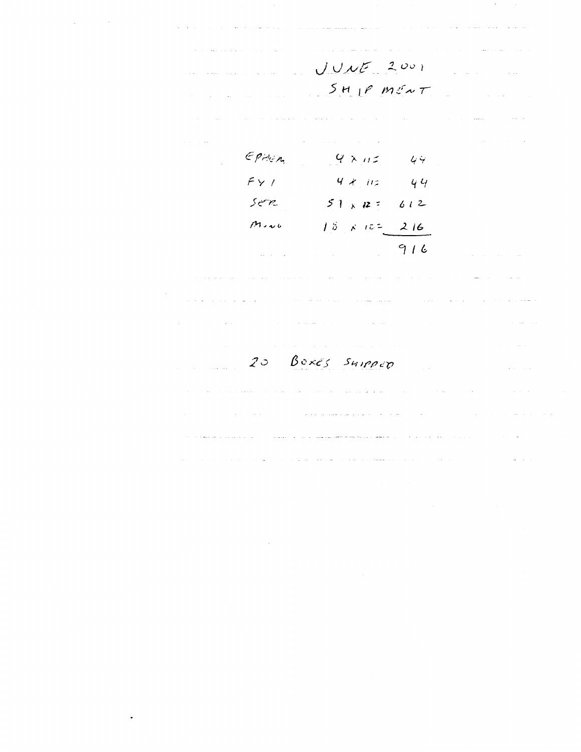**Contractor** and a con- $\mathcal{L}_{\mathrm{in}}$  $UULZ001$  $5H$  $P$   $M\ell\sim\tau$  $epen<sub>c</sub>$  $9 \times 12$  $4.4$  $FY/$  $4x$  iis 44 ser  $51 \times 12 =$  $612$  $M_{2}$  $18 \times 12 = 216$  $916$ in S المتحدث المتار  $\frac{1}{2}$  .  $\frac{1}{2}$ العامل التي يتوسع التي توسع التي تتوسع المستقلة الشهودي التي التي توسع التي تتوسع المستقلة التي  $\hat{\theta}$  and the contract  $\hat{\theta}$  are  $\hat{\theta}$  . The contract of the contract of the contract of  $\hat{\theta}$ 20 BOXES SHIPPED  $\sim$ <u>and a marine</u> and and the series of the series of the series of the series of the series of the series of the series of the series of the series of the series of the series of the series of the series of the series of the series of the <u>and the mean and the state of the mean of</u> and a state and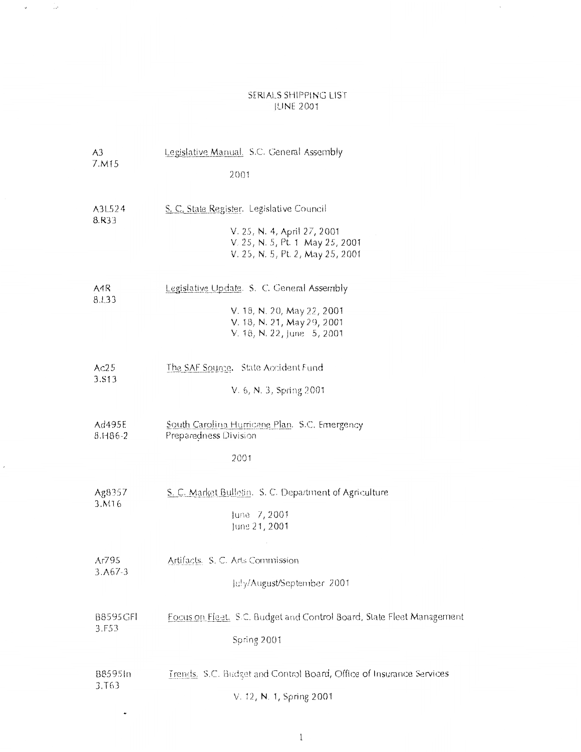#### SERIALS SHIPPING LIST jUNE 2001

 $\sim$ 

 $\mathcal{L}^{\text{max}}_{\text{max}}$ 

 $\mathbf{v}$ 

| A3                            | Legislative Manual, S.C. General Assembly                                                                                                       |
|-------------------------------|-------------------------------------------------------------------------------------------------------------------------------------------------|
| 7.M15                         | 2001                                                                                                                                            |
| A3L524<br>8.R33               | S. C. State Register. Legislative Council<br>V. 25, N. 4, April 27, 2001<br>V. 25, N. 5, Pt. 1 May 25, 2001<br>V. 25, N. 5, Pt. 2, May 25, 2001 |
| A4R<br>8.L33                  | Legislative Update. S. C. General Assembly<br>V. 18, N. 20, May 22, 2001<br>V. 18, N. 21, May 29, 2001<br>V. 18, N. 22, June 5, 2001            |
| Ac25<br>3.S13                 | The SAF Source. State Accident Fund<br>V. 6, N. 3, Spring 2001                                                                                  |
| Ad495E<br>8.1186-2            | South Carolina Hurricane Plan. S.C. Emergency<br>Preparedness Division<br>2001                                                                  |
| Ag8357<br>3.M16               | S. C. Market Bulletin. S. C. Department of Agriculture<br>June 7, 2001<br>June 21, 2001                                                         |
| Ar795<br>$3. A67-3$           | Artifacts. S. C. Arts Commission<br>July/August/September 2001                                                                                  |
| B8595GFI<br>3.F53             | Focus on Fleet. S.C. Budget and Control Board, State Fleet Management<br>Spring 2001                                                            |
| 88595In<br>3.T <sub>6</sub> 3 | Trends. S.C. Budget and Control Board, Office of Insurance Services<br>V. 12, N. 1, Spring 2001                                                 |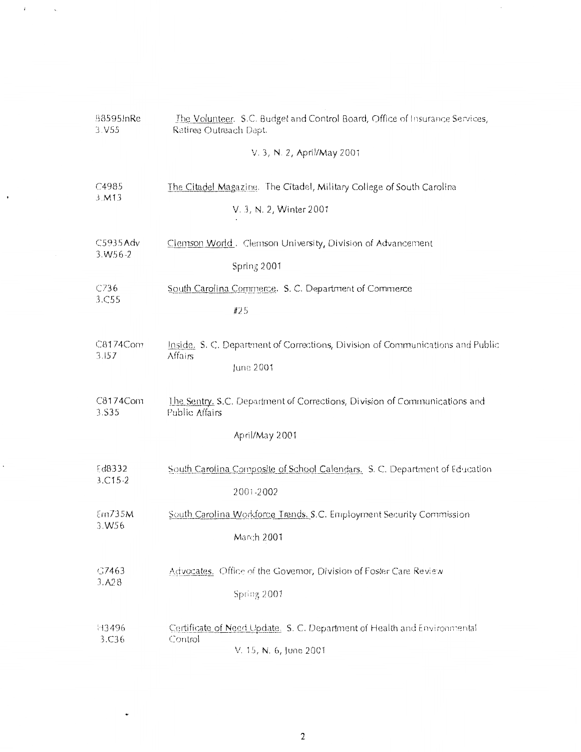| B8595InRe         | The Volunteer. S.C. Budget and Control Board, Office of Insurance Services,                                    |
|-------------------|----------------------------------------------------------------------------------------------------------------|
| 3.V55             | Retiree Outreach Dept.                                                                                         |
|                   | V. 3, N. 2, April/May 2001                                                                                     |
| C4985             | The Citadel Magazine. The Citadel, Military College of South Carolina                                          |
| 3. M13            | V. 3, N. 2, Winter 2001                                                                                        |
| C5935Adv          | Clemson World. Clemson University, Division of Advancement                                                     |
| $3. W56 - 2$      | Spring 2001                                                                                                    |
| C736              | South Carolina Commerce. S. C. Department of Commerce                                                          |
| 3.C55             | #25                                                                                                            |
| C8174Com<br>3.157 | Inside. S. C. Department of Corrections, Division of Communications and Public<br><b>Affairs</b><br>June 2001  |
| C8174Com<br>3.535 | The Sentry, S.C. Department of Corrections, Division of Communications and<br>Public Affairs<br>April/May 2001 |
| Ed8332            | South Carolina Composite of School Calendars, S. C. Department of Education                                    |
| $3. C15 - 2$      | 2001-2002                                                                                                      |
| Em735M            | South Carolina Workforce Trends. S.C. Employment Security Commission                                           |
| 3.W56             | March 2001                                                                                                     |
| G7463             | Advocates. Office of the Governor, Division of Foster Care Review                                              |
| 3.A28             | Spring 2001                                                                                                    |
| H3496<br>3.C36    | Certificate of Need Update. S. C. Department of Health and Environmental<br>Control<br>V. 15, N. 6, June 2001  |

 $T_{\rm{max}}$  ,  $\zeta_{\rm{max}}$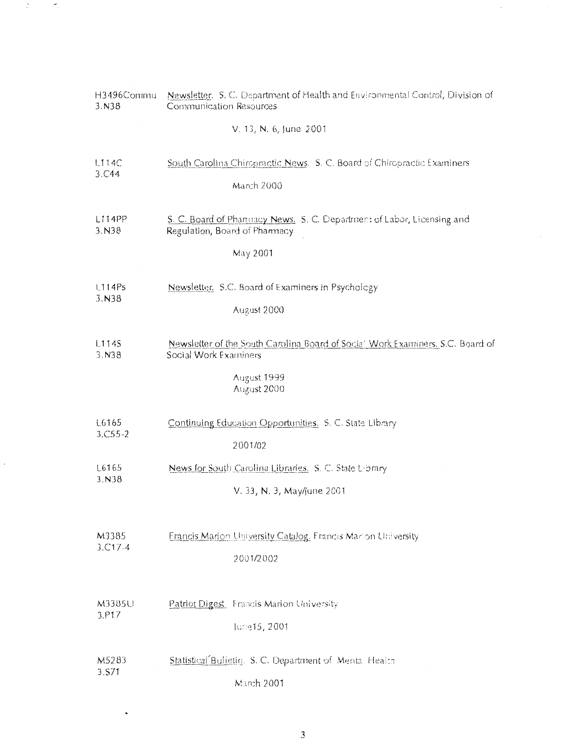| H3496Commu       | Newsletter. S. C. Department of Health and Environmental Control, Division of                                                         |
|------------------|---------------------------------------------------------------------------------------------------------------------------------------|
| 3. N38           | Communication Resources                                                                                                               |
|                  | V. 13, N. 6, June 2001                                                                                                                |
| L114C            | South Carolina Chiropractic News. S. C. Board of Chiropractic Examiners                                                               |
| 3.C44            | March 2000                                                                                                                            |
| L114PP<br>3. N38 | S. C. Board of Phannacy News. S. C. Department of Labor, Licensing and<br>Regulation, Board of Pharmacy<br>May 2001                   |
| L114Ps           | Newsletter. S.C. Board of Examiners in Psychology                                                                                     |
| 3. N38           | August 2000                                                                                                                           |
| L114S<br>3. N38  | Newsletter of the South Carolina Board of Social Work Examiners, S.C. Board of<br>Social Work Examiners<br>August 1999<br>August 2000 |
| L6165            | Continuing Education Opportunities. S. C. State Library                                                                               |
| $3. C55 - 2$     | 2001/02                                                                                                                               |
| L6165            | News for South Carolina Libraries. S. C. State Library                                                                                |
| 3.N38            | V. 33, N. 3, May/June 2001                                                                                                            |
| M3385            | Francis Marion University Catalog. Francis Marion University                                                                          |
| $3. C17 - 4$     | 2001/2002                                                                                                                             |
| M3385U           | Patriot Digest. Francis Marion University                                                                                             |
| 3.P17            | June15, 2001                                                                                                                          |
| M5283            | Statistical Bulletin. S. C. Department of Menta: Health                                                                               |
| 3.S71            | March 2001                                                                                                                            |

 $\sim 20$ 

 $\mathbb{C}$ 

 $\sim$   $\sim$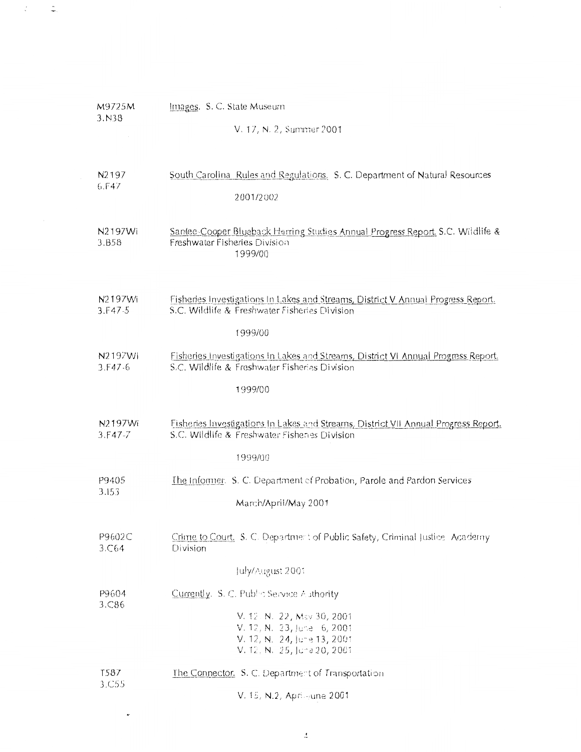| M9725M<br>3. N38             | Images. S. C. State Museum                                                                                                                                                              |  |  |
|------------------------------|-----------------------------------------------------------------------------------------------------------------------------------------------------------------------------------------|--|--|
|                              | V. 17, N. 2, Summer 2001                                                                                                                                                                |  |  |
| N <sub>2</sub> 197<br>6. F47 | South Carolina, Rules and Regulations. S. C. Department of Natural Resources<br>2001/2002                                                                                               |  |  |
| N2197Wi<br>3.B58             | Santee-Cooper Blueback Herring Studies Annual Progress Report, S.C. Wildlife &<br>Freshwater Fisheries Division<br>1999/00                                                              |  |  |
| N2197Wi<br>$3.F47-5$         | Fisheries Investigations In Lakes and Streams, District V Annual Progress Report.<br>S.C. Wildlife & Freshwater Fisheries Division<br>1999/00                                           |  |  |
| N2197Wi<br>3.F47.6           | Fisheries Investigations In Lakes and Streams, District VI Annual Progress Report.<br>S.C. Wildlife & Freshwater Fisheries Division<br>1999/00                                          |  |  |
| N2197Wi<br>$3.F47-7$         | Fisheries Investigations In Lakes and Streams, District VII Annual Progress Report.<br>S.C. Wildlife & Freshwater Fisheries Division                                                    |  |  |
| P9405<br>3.153               | 1999/00<br>The Informer. S. C. Department of Probation, Parole and Pardon Services<br>March/April/May 2001                                                                              |  |  |
| P9602C<br>3.C64              | Crime to Court. S. C. Department of Public Safety, Criminal Justice Academy<br>Division                                                                                                 |  |  |
| P9604<br>3.C86               | July/August 2001<br>Currently. S. C. Public Service Authority<br>V. 12. N. 22, May 30, 2001<br>V. 12, N. 23, June 6, 2001<br>V. 12, N. 24, June 13, 2001<br>V. 12, N. 25, June 20, 2001 |  |  |
| T587<br>3.C55                | The Connector, S. C. Department of Transportation<br>V. 15 N.2. And sune 2001                                                                                                           |  |  |

 $\mathbb{R}^2$ 

 $\frac{1}{2}$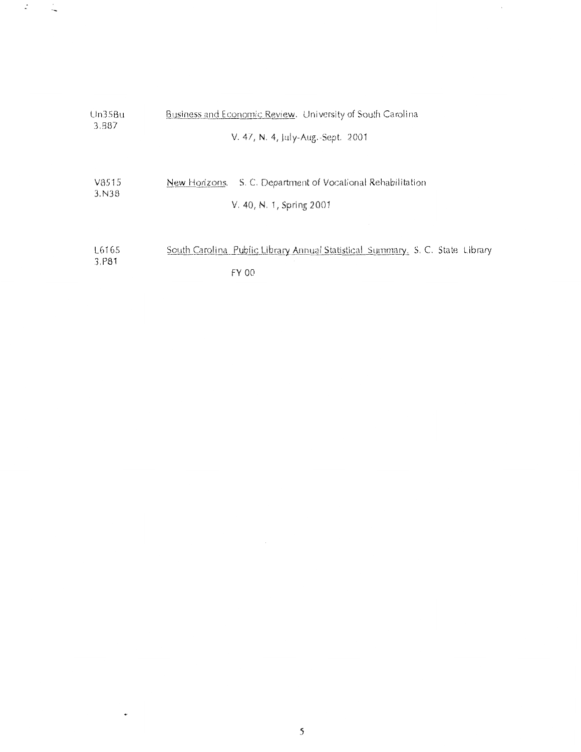| Un35Bu            | Business and Economic Review. University of South Carolina                                 |
|-------------------|--------------------------------------------------------------------------------------------|
| 3.B <sub>87</sub> | V. 47, N. 4, July-Aug.-Sept. 2001                                                          |
| V8515<br>3. N38   | S. C. Department of Vocational Rehabilitation<br>New Horizons.<br>V. 40, N. 1, Spring 2001 |
| L6165             | South Carolina Public Library Annual Statistical Summary, S. C. State Library              |
| 3.P81             | FY 00                                                                                      |

 $\sim$ 

 $\dot{\phantom{a}}$ 

 $\sim$   $\sim$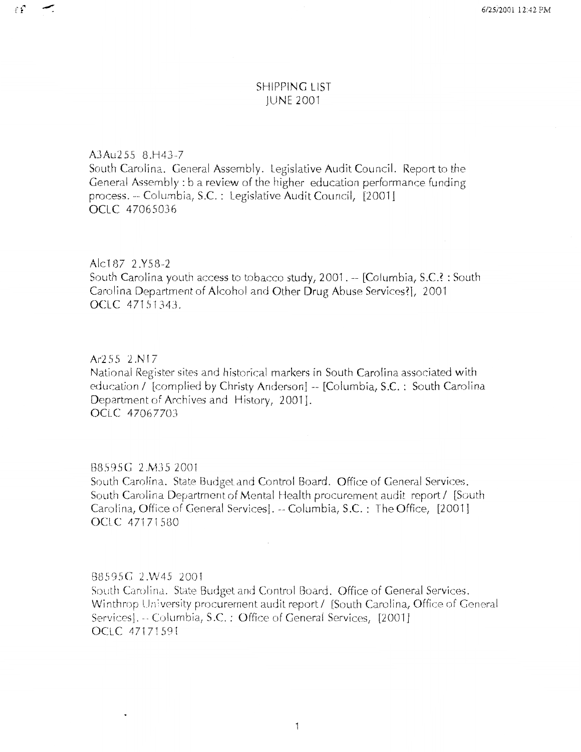## **SHIPPING LIST IUNE 2001**

A3Au255 8.H43-7

 $\mathbf{f} \mathbf{f}$ 

 $\tilde{\phantom{a}}$ 

South Carolina. General Assembly. Legislative Audit Council. Report to the General Assembly: b a review of the higher education performance funding process. -- Columbia, S.C. : Legislative Audit Council, [2001] OCLC 47065036

Alc187 2.Y58-2

South Carolina youth access to tobacco study, 2001. -- [Columbia, S.C.? : South Carolina Department of Alcohol and Other Drug Abuse Services?], 2001 OCLC 47151343.

Ar255 2.N17

National Register sites and historical markers in South Carolina associated with education / [complied by Christy Anderson] -- [Columbia, S.C.: South Carolina Department of Archives and History, 2001]. OCLC 47067703

## B8595G 2.M35 2001

South Carolina. State Budget and Control Board. Office of General Services. South Carolina Department of Mental Health procurement audit report / [South] Carolina, Office of General Services]. -- Columbia, S.C.: The Office, [2001] OCLC 47171580

## B8595G 2.W45 2001

South Carolina. State Budget and Control Board. Office of General Services. Winthrop University procurement audit report / [South Carolina, Office of General Services]. - Columbia, S.C.: Office of General Services, [2001] OCLC 47171591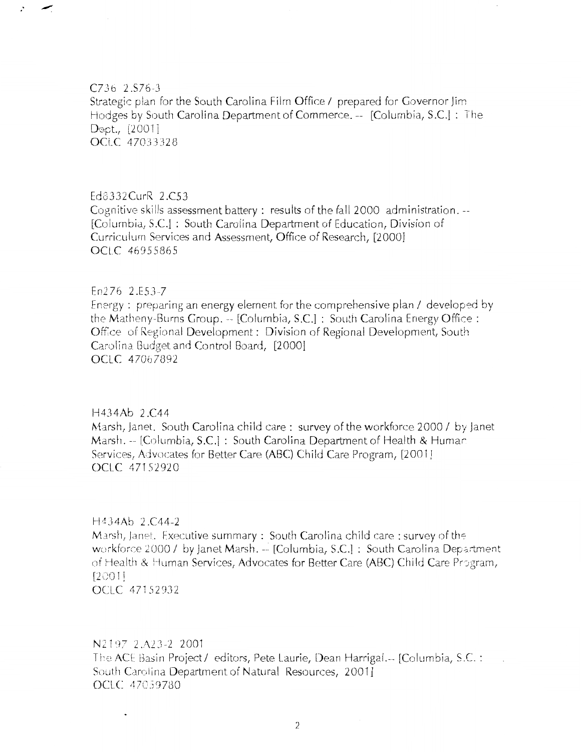C7Jb 2.S76-J Strategic plan for the South Carolina Film Office / prepared for Governor Jim Hodges by South Carolina Department of Commerce. -- [Columbia, S.C.] : The Dept., [2001] OCLC 47033328

#### Ed3332CurR 2 .C53

 $\cdot$ 

Cognitive skills assessment battery: results of the fall 2000 administration.--[Columbia, S.C.] : South Carolina Department of Education, Division of Curriculurn Services and Assessment, Office of Research, [2000] OCLC 46955865

## En276 *2.E537*

Energy : preparing an energy element for the comprehensive plan / developed by the Matheny-Burns Group. -- [Columbia, S.C.] : South Carolina Energy Office : Office of Regional Development: Division of Regional Development, South Carolina Budget and Control Board, [20001 OCLC 47067892

## H434Ab 2 .CA4

Marsh, janet. South Carolina child care: survey of the workforce 2000 I by janet Marsh.-- [Columbia, S.C.] : South Carolina Department of Health & Humar Services, Advocates for Better Care (ABC) Child Care Program, [2001] OCLC 471 S2920

## $H434Ab 2.C44-2$

Marsh, Janet. Executive summary : South Carolina child care: survey of the workforce 2000 / by Janet Marsh. -- [Columbia, S.C.] : South Carolina Department of Health & Human Services, Advocates for Better Care (ABC) Child Care Program,  $[2001]$ OCLC 471 *S2932* 

## N2197 2.A23-2 2001

 $\ddot{\phantom{0}}$ 

The ACE Basin Project / editors, Pete Laurie, Dean Harrigal.-- [Columbia, S.C.: South Carolina Departrnent of Natural Resources, 20011 OCLC 47059780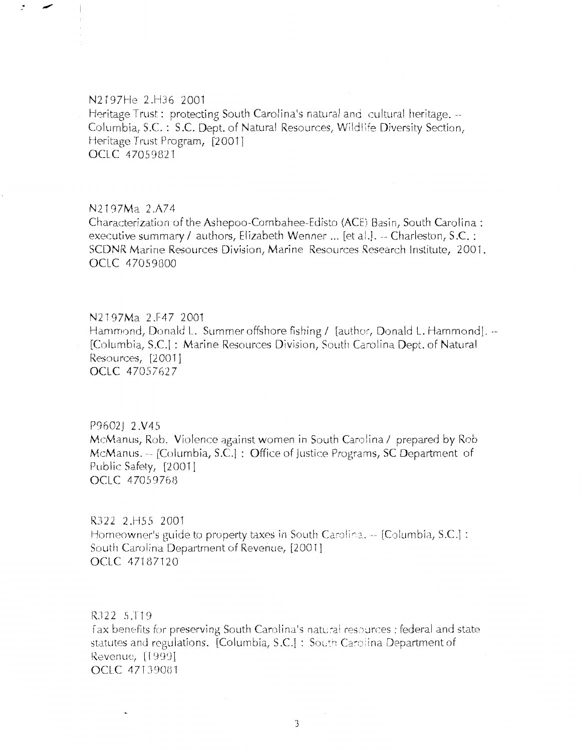# N2197He 2.H36 2001 Heritage Trust: protecting South Carolina's natural and cultural heritage. --Columbia, S.C.: S.C. Dept. of Natural Resources, Wildlife Diversity Section, Heritage Trust Program, [2001] OCLC 47059821

#### N2197Ma 2.A74

 $\cdot$ 

Characterization of the Ashepoo-Combahee-Edisto (ACE) Basin, South Carolina : executive summary / authors, Elizabeth Wenner ... [et al.]. -- Charleston, S.C. : SCDNR Marine Resources Division, Marine Resources Research Institute, 2001. OCLC 47059800

N2197Ma 2.F47 2001 Hammond, Donald L. Summer offshore fishing / [author, Donald L. Hammond]. --[Columbia, S.C.]: Marine Resources Division, South Carolina Dept. of Natural Resources, [2001] OCLC 47057627

P9602J 2.V45 McManus, Rob. Violence against women in South Carolina / prepared by Rob McManus. -- [Columbia, S.C.] : Office of Justice Programs, SC Department of Public Safety, [2001] OCLC 47059768

R322 2.H55 2001 Homeowner's guide to property taxes in South Carolina.  $\sim$  [Columbia, S.C.] : South Carolina Department of Revenue, [2001] OCLC 47187120

R322 5.T19 Tax benefits for preserving South Carolina's natural resources : federal and state statutes and regulations. [Columbia, S.C.] : South Carolina Department of Revenue, [1999] OCLC 47139081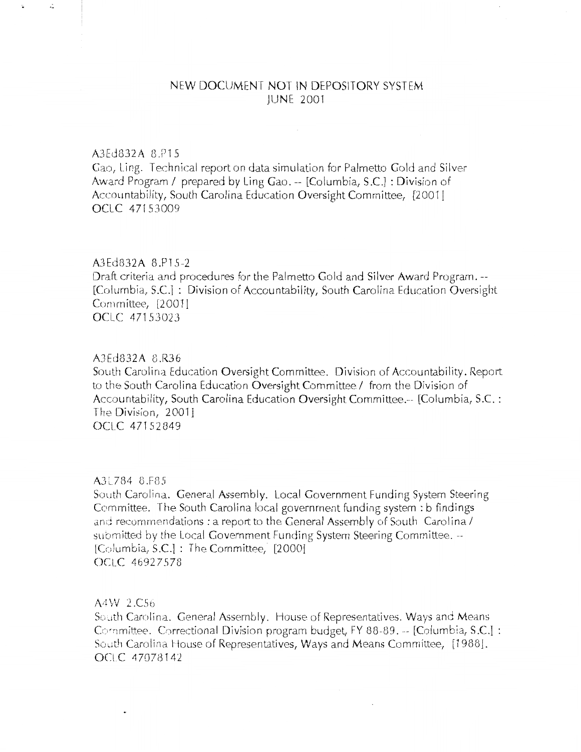# NEW DOClJMENT NOT IN DEPOSITORY SYSTEM JUNE 2001

## A3 E d 8 3 2 A 8 .P15

 $\mathcal{L}$ 

Gao, Ling. Technical report on data simulation for Palmetto Gold and Silver Award Program / prepared by Ling Gao. -- [Columbia, S.C.] : Division of Accountability, South Carolina Education Oversight Committee, [2001] OCLC 47153009

## A3Ed832A 8.P1 *S-2*

Draft criteria and procedures for the Palmetto Gold and Silver Award Program.-- [Columbia, S.C.1 : Division of Accountability, South Carolina Education Oversight Committee, [2001] OCLC 47153023

#### A3Ed832A 8.R36

South Carolina Education Oversight Committee. Division of Accountability. Report to the South Carolina Education Oversight Committee / from the Division of Accountability, South Carolina Education Oversight Committee.-- [Columbia, S.C.: The Division, 2001] OCLC 47152349

## A3L784 8.F85

South Carolina. General Assembly. Local Government Funding System Steering Committee. The South Carolina local government funding system : b findings and recommendations: a report to the General Assembly of South Carolina / submitted by the Local Government Funding System Steering Committee.  $-$ [Columbia, S.C.] : The Committee, [2000] OCl\_C 4692 7578

A4W 2.C56

So.1th Carolina. General Assembly. House of Representatives. Ways and Means Committee. Correctional Division program budget, FY 88-89.  $-$  [Columbia, S.C.] : South Carolina House of Representatives, Ways and Means Committee, [1988]. OCLC 47078142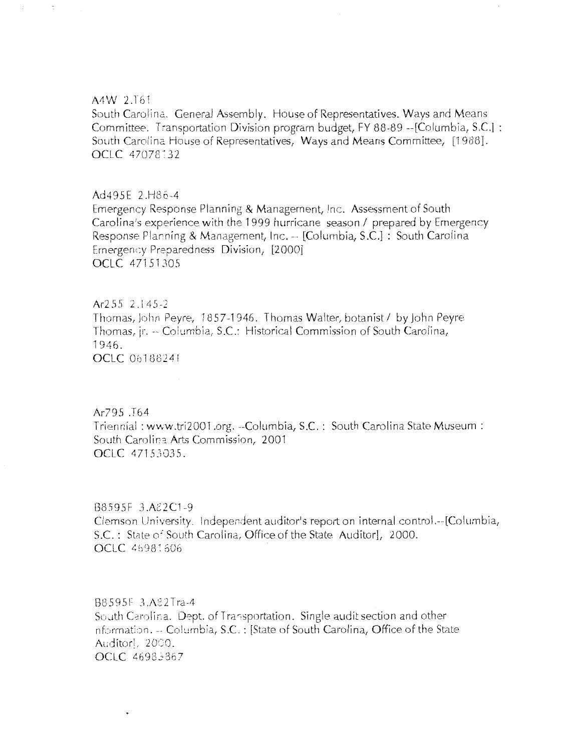## A4W 2.T61

 $\hat{\cdot}$ 

South Carolina. General Assembly. House of Representatives. Ways and Means Committee. Transportation Division program budget, FY 88-89 --[Columbia, S.C.] : South Carolina House of Representatives, Ways and Means Committee, [1988]. OCLC 47078132

#### Ad495E 2.H86-4

Emergency Response Planning & Management, Inc. Assessment of South Carolina's experience with the 1999 hurricane season / prepared by Emergency Response Planning & Management, Inc. -- [Columbia, S.C.] : South Carolina Emergency Preparedness Division, [2000] **OCLC 47151305** 

#### Ar255 2.145-2

Thomas, John Peyre, 1857-1946. Thomas Walter, botanist / by John Peyre Thomas, ir. -- Columbia, S.C.: Historical Commission of South Carolina, 1946. **OCLC** 06188241

#### Ar795.T64

Triennial: www.tri2001.org. --Columbia, S.C.: South Carolina State Museum: South Carolina Arts Commission, 2001 OCLC 47153035.

#### B8595F 3.A82C1-9

 $\bullet$ 

Clemson University. Independent auditor's report on internal control.--[Columbia, S.C.: State of South Carolina, Office of the State Auditor], 2000. OCLC 46981606

# B8595F 3.A82Tra-4 South Carolina. Dept. of Transportation. Single audit section and other nformation. -- Columbia, S.C. : [State of South Carolina, Office of the State Auditorl, 2000. OCLC 46983867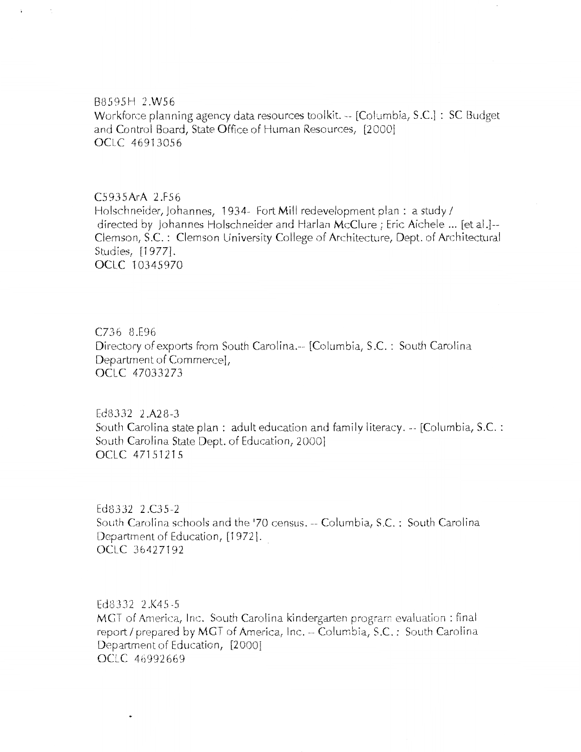B8595H 2.W56

Workforce planning agency data resources toolkit.-- [Columbia, S.C.] : SC Budget and Control Board, State Office of Human Resources, [20001 OCLC 46913056

C5935ArA 2.F56

Holschneider, Johannes, 1934- Fort Mill redevelopment plan : a study / directed by Johannes Holschneider and Harlan McClure; Eric Aichele ... [et al.I-- Ciemson, S.C.: Clemson University College of Architecture, Dept. of Architectural Studies, [1977]. OCLC 10345970

C736 8.E96 Directory of exports from South Carolina.-- [Columbia, S.C.: South Carolina Department of Commerce], OCLC 47033273

Ed8332 2.A28-3 South Carolina state plan : adult education and family literacy.-- [Columbia, S.C.: South Carolina State Dept. of Education, 2000] OCLC 47151215

Ed8332 2.C35-2 South Carolina schools and the '70 census. -- Columbia, S.C. : South Carolina Department of Education, [1972]. OCLC 3642 7192

Ed8332 2.K45-5 MGT of America, Inc. South Carolina kindergarten program evaluation : final report / prepared by MGT of America, Inc. -- Columbia, S.C.: South Carolina Department of Education, [2000] OCLC 46992669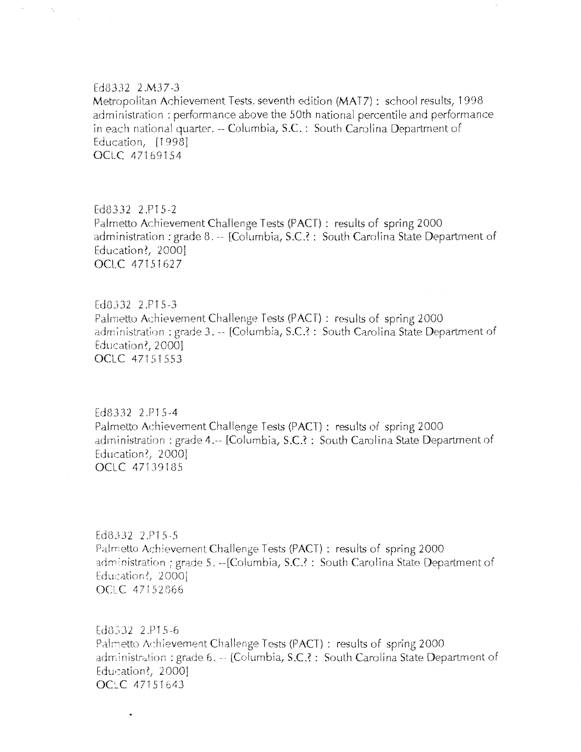#### Fd8332 2.M37-3

 $\ddot{\phantom{0}}$ 

Metropolitan Achievement Tests, seventh edition (MAT7): school results, 1998 administration: performance above the 50th national percentile and performance in each national quarter. -- Columbia, S.C.: South Carolina Department of Education, [1998] OCLC 47169154

Ed8332 2.P15-2 Palmetto Achievement Challenge Tests (PACT) : results of spring 2000 administration : grade 8. -- [Columbia, S.C.? : South Carolina State Department of Education?, 2000] OCLC 47151627

Ed8332 2.P15-3 Palmetto Achievement Challenge Tests (PACT) : results of spring 2000 administration : grade 3. -- [Columbia, S.C.? : South Carolina State Department of Education?, 2000] OCLC 47151553

Ed8332 2.P15-4 Palmetto Achievement Challenge Tests (PACT) : results of spring 2000 administration: grade 4.-- [Columbia, S.C.?: South Carolina State Department of Education?, 2000] OCLC 47139185

Ed8332 2.P15-5 Palmetto Achievement Challenge Tests (PACT) : results of spring 2000 administration ; grade 5. --[Columbia, S.C.?: South Carolina State Department of Education?, 2000] OCLC 47152866

Ed8332 2.P15-6 Palmetto Achievement Challenge Tests (PACT) : results of spring 2000 administration : grade 6. -- [Columbia, S.C.? : South Carolina State Department of Education?,  $2000$ OCLC 47151643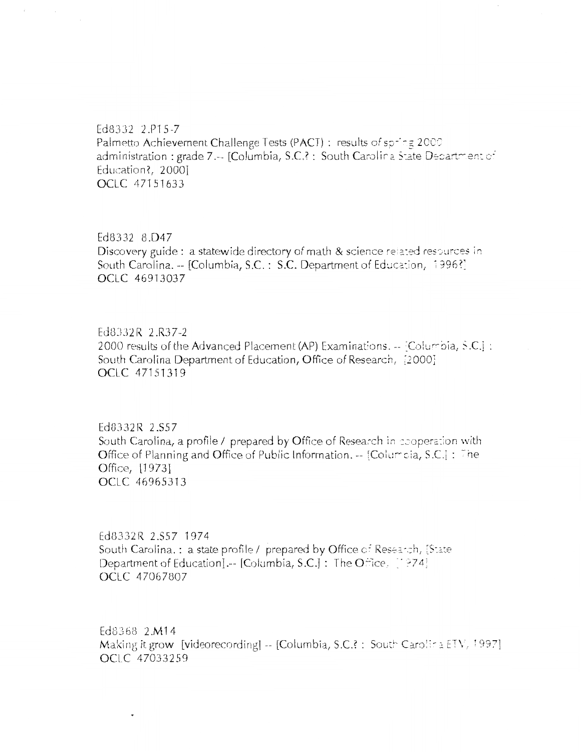Ed8332 2.P15-7 Palmetto Achievement Challenge Tests (PACT) : results of spring 2000 administration : grade 7 .-- [Columbia, S.C.? : South Carolina State Department of Education?, 2000] OCLC 47151633

Ed8332 8.D47 Discovery guide : a statewide directory of math & science related resources in South Carolina. -- [Columbia, S.C.: S.C. Department of Education, 1996?] OCLC 46913037

Ed8332R 2.R37-2 2000 results of the Advanced Placement (AP) Examinations. -- [Columbia, S.C.] : South Carolina Department of Education, Office of Research, [2000] OCLC 47151319

Ed8332R 2.S57 South Carolina, a profile / prepared by Office of Research in cooperation with Office of Planning and Office of Public Information. -- [Columbia, S.C.] : The Office, [1973] **OCLC 46965313** 

Ed8332R 2.S57 1974 South Carolina.: a state profile / prepared by Office of Research, [State Department of Education] .-- [Columbia, S.C.] : The Office, [1974] OCLC 47067807

Ed8368 2.M14 Making it grow [videorecording]  $-$  [Columbia, S.C.? : South Carolina ETV, 1997] OCLC 47033259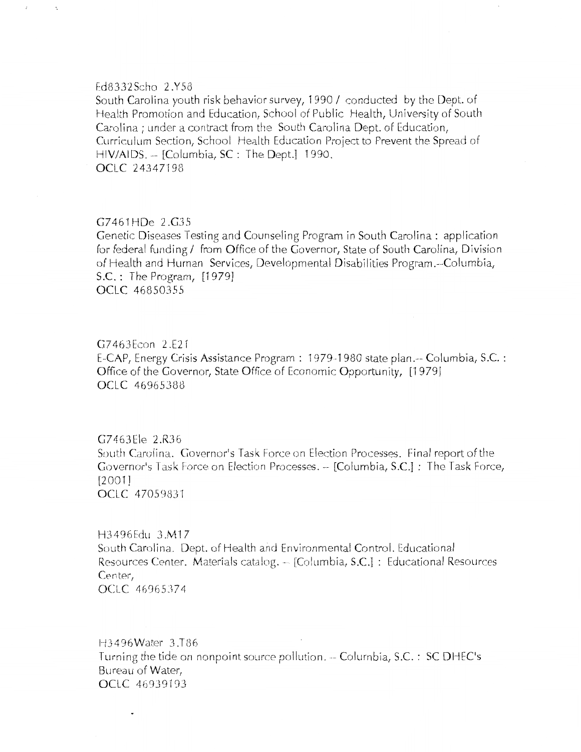#### Ed8332Scho 2.Y58

 $\bar{\mathbf{z}}$ 

South Carolina youth risk behavior survey, 1990 / conducted by the Dept. of Health Promotion and Education, School of Public Health, University of South Carolina ; under a contract from the South Carolina Dept. of Education, Curriculum Section, School Health Education Project to Prevent the Spread of HIV/AIDS. -- [Columbia, SC : The Dept.] 1990. OCLC 24347198

## G7461HDe 2.G35

Genetic Diseases Testing and Counseling Program in South Carolina: application for federal funding / from Office of the Governor, State of South Carolina, Division of Health and Human Services, Developmental Disabilities Program.--Columbia, S.C.: The Program, [1979] OCLC 46850355

## G7463Econ 2.E21

 $\ddot{\phantom{0}}$ 

E-CAP, Energy Crisis Assistance Program : 1979-1980 state plan.-- Columbia, S.C. : Office of the Governor, State Office of Economic Opportunity, [1979] OCLC 46965388

G7463Ele 2.R36 South Carolina. Governor's Task Force on Election Processes. Final report of the Governor's Task Force on Election Processes. -- [Columbia, S.C.] : The Task Force,  $[2001]$ **OCLC 47059831** 

H3496Edu 3.M17 South Carolina. Dept. of Health and Environmental Control. Educational Resources Center. Materials catalog. -- [Columbia, S.C.] : Educational Resources Center. OCLC 46965374

H3496Water 3.T86 Turning the tide on nonpoint source pollution. -- Columbia, S.C.: SC DHEC's Bureau of Water, OCLC 46939193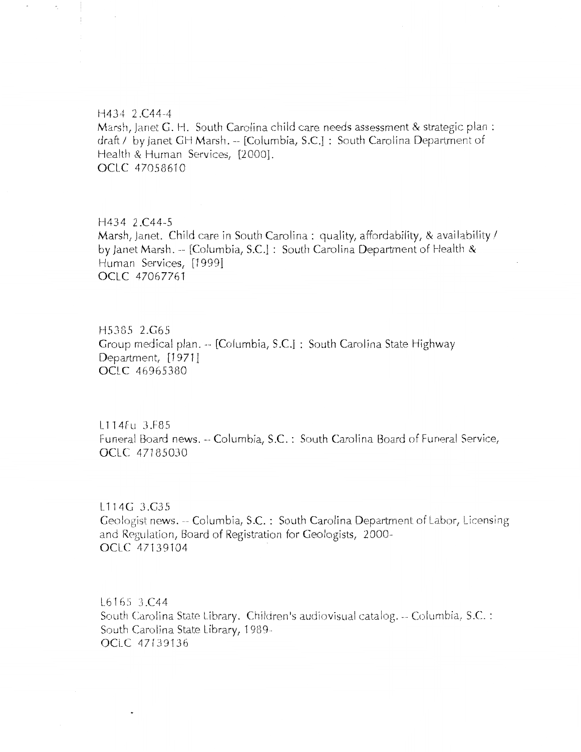#### H434 2.C44-4

Marsh, janet G. H. South Carolina child care needs assessment & strategic plan : draft / by Janet GH Marsh. -- [Columbia, S.C.] : South Carolina Department of Health & Human Services, [2000]. OCLC 47058610

# H434 2.C44-5

Marsh, Janet. Child care in South Carolina: quality, affordability, & availability / by janet Marsh. -- [Columbia, S.C.] : South Carolina Department of Health & Human Services, [19991 OCLC 47067761

H53G5 2.G65 Group medical plan.-- [Columbia, S.C.] : South Carolina State Highway Department, [1971] OCLC 46965380

L 114Fu J.F85 Funeral Board news. -- Columbia, S.C.: South Carolina Board of Funeral Service, OCLC 47185030

L114G 3.G35 Geologist news.-- Columbia, S.C. : South Carolina Department of Labor, Licensing and Regulation, Board of Registration for Geologists, 2000-0Cl\_C 47139104

L6165 3.C44 South Carolina State Library. Children's audiovisual catalog. -- Columbia, S.C. : South Carolina State l\_ibrary, 1989- OCLC 47139136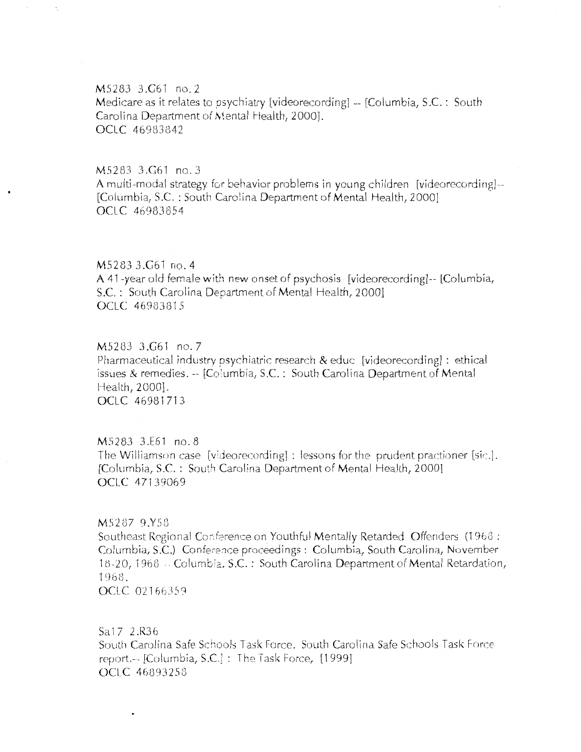## M5283 3.G61 no. 2

Medicare as it relates to psychiatry [videorecording1 -- [Columbia, S.C. : South Carolina Department of Mental Health, 2000]. OCLC 46983842

## $M5283$   $3.G61$  no. 3

A multi-mudal strategy for behavior problems in young children [videorecording1-- [Columbia, S.C. : South Carolina Department of Mental Health, 2000] OCLC 46983854

#### M5283 3.061 no. 4

A 41-year old female with new onset of psychosis [videorecording1-- [Columbia, S.C. : South Carolina Department of Mental Health, 2000] OCLC 46983815

M5283 3.G61 no. 7 Pharmaceutical industry psychiatric research  $\&$  educ [videorecording] : ethical issues & remedies.-- [Co!umbia, S.C. : South Carolina Department of Mental Health, 2000]. OCLC 46981713

#### *MS283* J.E61 no. 8

The Williamson case [v;deorecording1 : lessons for the prudent practioner [sic.]. [Columbia, S.C. : South Carolina Department of Mental Health, 2000] OCLC 47139069

## M5287 9.Y58

Southeast Regional Conference on Youthful Mentally Retarded Offenders (1968 : Columbia, S.C.) Conference proceedings: Columbia, South Carolina, November 18-20, 1968 -- Columbia, S.C. : South Carolina Department of Mental Retardation, 1968. OCLC 02166359

Sa17 2.R36

South Carolina Safe Schools Task Force. South Carolina Safe Schools Task Force report.-- [Columbia, S.C.] : The Task Force, [1999] OClC 46893258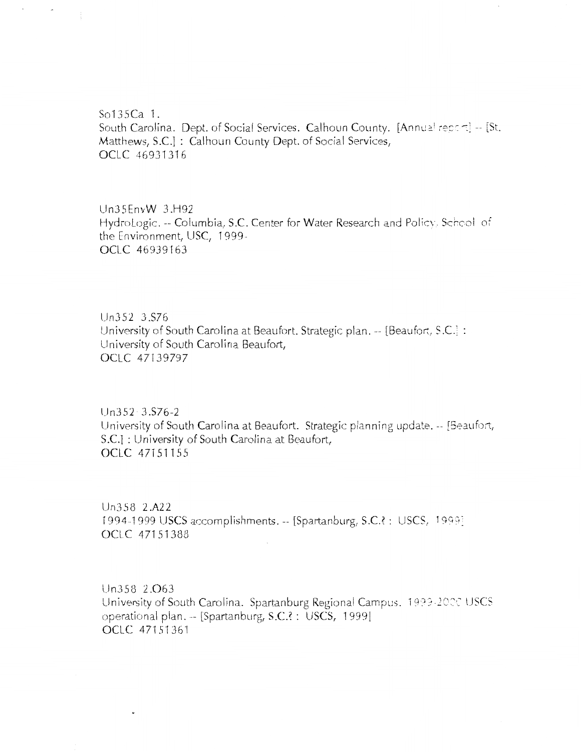$S$ <sup>0</sup>135Ca 1. South Carolina. Dept. of Social Services. Calhoun County. [Annual report] -- [St. Matthews, S.C.]: Calhoun County Dept. of Social Services, OCLC 46931316

 $\mathbf{r}$ 

Un35EnvW 3.H92 HydroLogic. -- Columbia, S.C. Center for Water Research and Policy. School of the Environment, USC, 1999-0CLC 46939163

Un352 3.S76 University of South Carolina at Beaufort. Strategic plan. -- [Beaufort, S.C.] : University of South Carolina Beaufort, OCLC 47139797

Un352 3.S76-2 University of South Carolina at Beaufort. Strategic planning update. -- [Seaufort, S.C.] : University of South Carolina at Beaufort, OCLC 47151155

Un358 2.A22 1994-1999 USCS accomplishments. -- [Spartanburg, S.C.?: USCS, 1999] OCLC 47151388

Un358 2.063 University of South Carolina. Spartanburg Regional Campus. 1999-2000 USCS operational plan. -- [Spartanburg, S.C.? : USCS, 1999] OCLC 471 *S* '136'1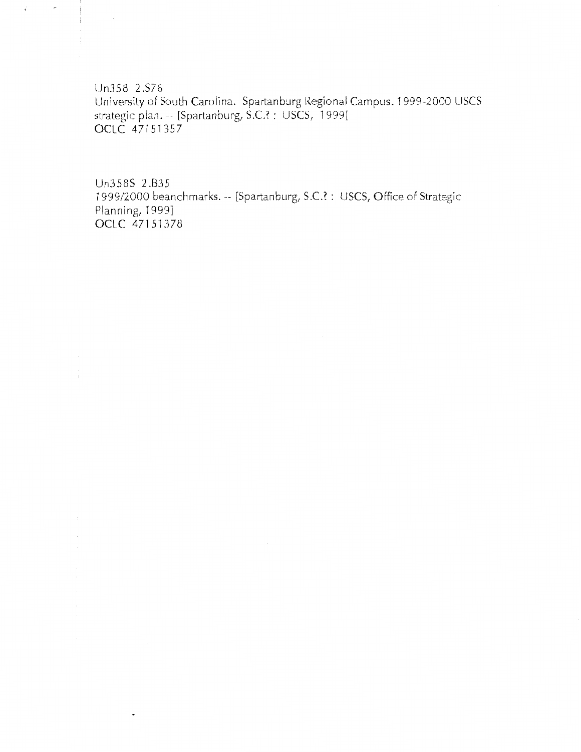Un358 2.S76 University of South Carolina. Spartanburg Regional Campus. 1999-2000 USCS strategic plan. -- [Spartanburg, S.C.? : USCS, 1999]<br>OCLC 47151357

 $\vec{\epsilon}$ 

Un358S 2.B35 1999/2000 beanchmarks. -- [Spartanburg, S.C.? : USCS, Office of Strategic Planning, 1999] OCLC 47151378